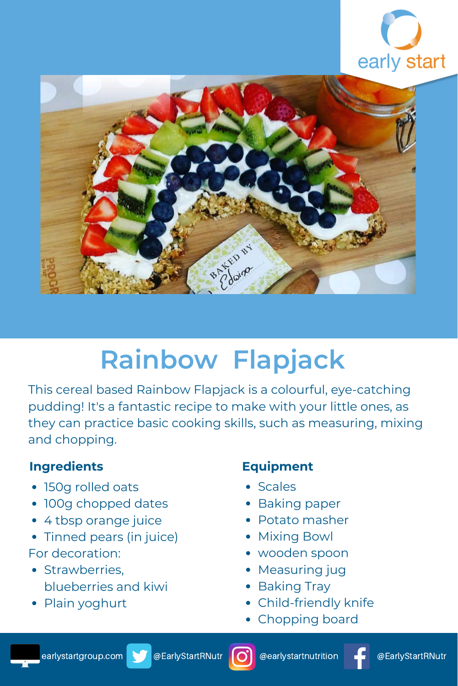



# **Rainbow Flapjack**

This cereal based Rainbow Flapjack is a colourful, eye-catching pudding! It's a fantastic recipe to make with your little ones, as they can practice basic cooking skills, such as measuring, mixing and chopping.

## **Ingredients**

- 150g rolled oats
- 100g chopped dates
- 4 tbsp orange juice
- Tinned pears (in juice) For decoration:
- Strawberries, blueberries and kiwi
- Plain yoghurt

## **Equipment**

- Scales
- Baking paper
- Potato masher
- Mixing Bowl
- wooden spoon
- Measuring jug
- Baking Tray
- Child-friendly knife
- Chopping board